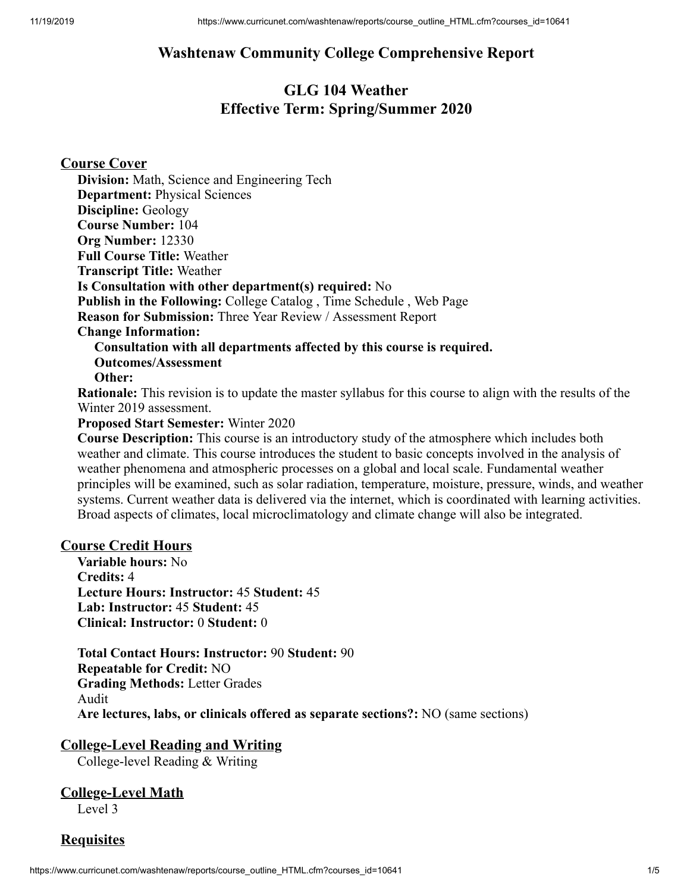# **Washtenaw Community College Comprehensive Report**

# **GLG 104 Weather Effective Term: Spring/Summer 2020**

**Course Cover**

**Division:** Math, Science and Engineering Tech **Department:** Physical Sciences **Discipline:** Geology **Course Number:** 104 **Org Number:** 12330 **Full Course Title:** Weather **Transcript Title:** Weather **Is Consultation with other department(s) required:** No **Publish in the Following:** College Catalog , Time Schedule , Web Page **Reason for Submission:** Three Year Review / Assessment Report **Change Information: Consultation with all departments affected by this course is required. Outcomes/Assessment Other: Rationale:** This revision is to update the master syllabus for this course to align with the results of the Winter 2019 assessment.

**Proposed Start Semester:** Winter 2020

**Course Description:** This course is an introductory study of the atmosphere which includes both weather and climate. This course introduces the student to basic concepts involved in the analysis of weather phenomena and atmospheric processes on a global and local scale. Fundamental weather principles will be examined, such as solar radiation, temperature, moisture, pressure, winds, and weather systems. Current weather data is delivered via the internet, which is coordinated with learning activities. Broad aspects of climates, local microclimatology and climate change will also be integrated.

#### **Course Credit Hours**

**Variable hours:** No **Credits:** 4 **Lecture Hours: Instructor:** 45 **Student:** 45 **Lab: Instructor:** 45 **Student:** 45 **Clinical: Instructor:** 0 **Student:** 0

**Total Contact Hours: Instructor:** 90 **Student:** 90 **Repeatable for Credit:** NO **Grading Methods:** Letter Grades Audit **Are lectures, labs, or clinicals offered as separate sections?:** NO (same sections)

**College-Level Reading and Writing**

College-level Reading & Writing

# **College-Level Math**

Level 3

**Requisites**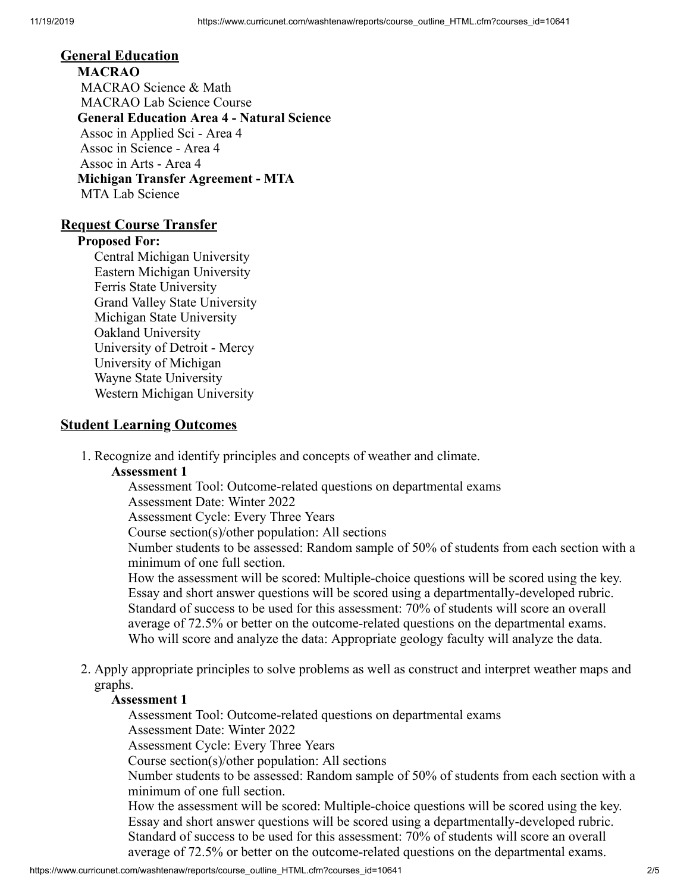#### **General Education**

**MACRAO** MACRAO Science & Math MACRAO Lab Science Course **General Education Area 4 - Natural Science** Assoc in Applied Sci - Area 4 Assoc in Science - Area 4 Assoc in Arts - Area 4 **Michigan Transfer Agreement - MTA** MTA Lab Science

#### **Request Course Transfer**

#### **Proposed For:**

Central Michigan University Eastern Michigan University Ferris State University Grand Valley State University Michigan State University Oakland University University of Detroit - Mercy University of Michigan Wayne State University Western Michigan University

#### **Student Learning Outcomes**

1. Recognize and identify principles and concepts of weather and climate.

#### **Assessment 1**

Assessment Tool: Outcome-related questions on departmental exams Assessment Date: Winter 2022

Assessment Cycle: Every Three Years

Course section(s)/other population: All sections

Number students to be assessed: Random sample of 50% of students from each section with a minimum of one full section.

How the assessment will be scored: Multiple-choice questions will be scored using the key. Essay and short answer questions will be scored using a departmentally-developed rubric. Standard of success to be used for this assessment: 70% of students will score an overall average of 72.5% or better on the outcome-related questions on the departmental exams. Who will score and analyze the data: Appropriate geology faculty will analyze the data.

2. Apply appropriate principles to solve problems as well as construct and interpret weather maps and graphs.

#### **Assessment 1**

Assessment Tool: Outcome-related questions on departmental exams

Assessment Date: Winter 2022

Assessment Cycle: Every Three Years

Course section(s)/other population: All sections

Number students to be assessed: Random sample of 50% of students from each section with a minimum of one full section.

How the assessment will be scored: Multiple-choice questions will be scored using the key. Essay and short answer questions will be scored using a departmentally-developed rubric. Standard of success to be used for this assessment: 70% of students will score an overall average of 72.5% or better on the outcome-related questions on the departmental exams.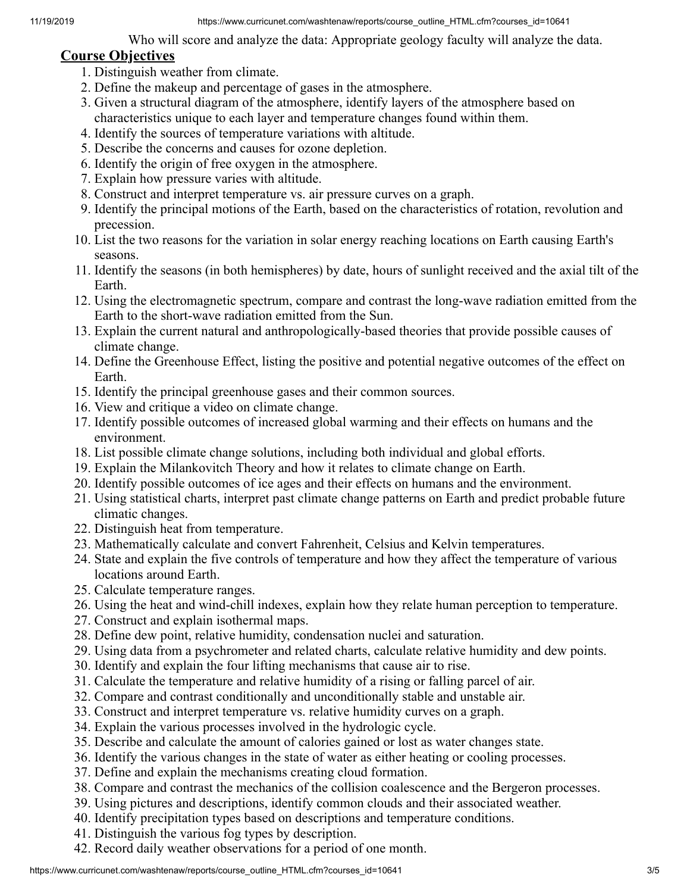11/19/2019 https://www.curricunet.com/washtenaw/reports/course\_outline\_HTML.cfm?courses\_id=10641

Who will score and analyze the data: Appropriate geology faculty will analyze the data.

#### **Course Objectives**

- 1. Distinguish weather from climate.
- 2. Define the makeup and percentage of gases in the atmosphere.
- 3. Given a structural diagram of the atmosphere, identify layers of the atmosphere based on characteristics unique to each layer and temperature changes found within them.
- 4. Identify the sources of temperature variations with altitude.
- 5. Describe the concerns and causes for ozone depletion.
- 6. Identify the origin of free oxygen in the atmosphere.
- 7. Explain how pressure varies with altitude.
- 8. Construct and interpret temperature vs. air pressure curves on a graph.
- 9. Identify the principal motions of the Earth, based on the characteristics of rotation, revolution and precession.
- 10. List the two reasons for the variation in solar energy reaching locations on Earth causing Earth's seasons.
- 11. Identify the seasons (in both hemispheres) by date, hours of sunlight received and the axial tilt of the Earth.
- 12. Using the electromagnetic spectrum, compare and contrast the long-wave radiation emitted from the Earth to the short-wave radiation emitted from the Sun.
- 13. Explain the current natural and anthropologically-based theories that provide possible causes of climate change.
- 14. Define the Greenhouse Effect, listing the positive and potential negative outcomes of the effect on Earth.
- 15. Identify the principal greenhouse gases and their common sources.
- 16. View and critique a video on climate change.
- 17. Identify possible outcomes of increased global warming and their effects on humans and the environment.
- 18. List possible climate change solutions, including both individual and global efforts.
- 19. Explain the Milankovitch Theory and how it relates to climate change on Earth.
- 20. Identify possible outcomes of ice ages and their effects on humans and the environment.
- 21. Using statistical charts, interpret past climate change patterns on Earth and predict probable future climatic changes.
- 22. Distinguish heat from temperature.
- 23. Mathematically calculate and convert Fahrenheit, Celsius and Kelvin temperatures.
- 24. State and explain the five controls of temperature and how they affect the temperature of various locations around Earth.
- 25. Calculate temperature ranges.
- 26. Using the heat and wind-chill indexes, explain how they relate human perception to temperature.
- 27. Construct and explain isothermal maps.
- 28. Define dew point, relative humidity, condensation nuclei and saturation.
- 29. Using data from a psychrometer and related charts, calculate relative humidity and dew points.
- 30. Identify and explain the four lifting mechanisms that cause air to rise.
- 31. Calculate the temperature and relative humidity of a rising or falling parcel of air.
- 32. Compare and contrast conditionally and unconditionally stable and unstable air.
- 33. Construct and interpret temperature vs. relative humidity curves on a graph.
- 34. Explain the various processes involved in the hydrologic cycle.
- 35. Describe and calculate the amount of calories gained or lost as water changes state.
- 36. Identify the various changes in the state of water as either heating or cooling processes.
- 37. Define and explain the mechanisms creating cloud formation.
- 38. Compare and contrast the mechanics of the collision coalescence and the Bergeron processes.
- 39. Using pictures and descriptions, identify common clouds and their associated weather.
- 40. Identify precipitation types based on descriptions and temperature conditions.
- 41. Distinguish the various fog types by description.
- 42. Record daily weather observations for a period of one month.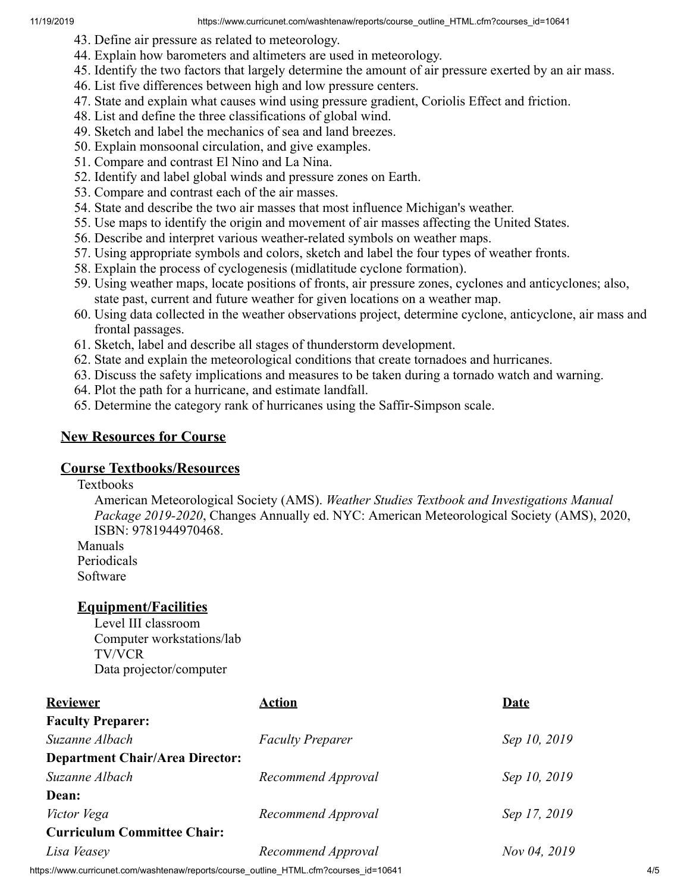- 43. Define air pressure as related to meteorology.
- 44. Explain how barometers and altimeters are used in meteorology.
- 45. Identify the two factors that largely determine the amount of air pressure exerted by an air mass.
- 46. List five differences between high and low pressure centers.
- 47. State and explain what causes wind using pressure gradient, Coriolis Effect and friction.
- 48. List and define the three classifications of global wind.
- 49. Sketch and label the mechanics of sea and land breezes.
- 50. Explain monsoonal circulation, and give examples.
- 51. Compare and contrast El Nino and La Nina.
- 52. Identify and label global winds and pressure zones on Earth.
- 53. Compare and contrast each of the air masses.
- 54. State and describe the two air masses that most influence Michigan's weather.
- 55. Use maps to identify the origin and movement of air masses affecting the United States.
- 56. Describe and interpret various weather-related symbols on weather maps.
- 57. Using appropriate symbols and colors, sketch and label the four types of weather fronts.
- 58. Explain the process of cyclogenesis (midlatitude cyclone formation).
- 59. Using weather maps, locate positions of fronts, air pressure zones, cyclones and anticyclones; also, state past, current and future weather for given locations on a weather map.
- 60. Using data collected in the weather observations project, determine cyclone, anticyclone, air mass and frontal passages.
- 61. Sketch, label and describe all stages of thunderstorm development.
- 62. State and explain the meteorological conditions that create tornadoes and hurricanes.
- 63. Discuss the safety implications and measures to be taken during a tornado watch and warning.
- 64. Plot the path for a hurricane, and estimate landfall.
- 65. Determine the category rank of hurricanes using the Saffir-Simpson scale.

#### **New Resources for Course**

#### **Course Textbooks/Resources**

#### Textbooks

American Meteorological Society (AMS). *Weather Studies Textbook and Investigations Manual Package 2019-2020*, Changes Annually ed. NYC: American Meteorological Society (AMS), 2020, ISBN: 9781944970468.

Manuals Periodicals

Software

#### **Equipment/Facilities**

Level III classroom Computer workstations/lab TV/VCR Data projector/computer

| <b>Reviewer</b>                        | Action                  | Date         |
|----------------------------------------|-------------------------|--------------|
| <b>Faculty Preparer:</b>               |                         |              |
| Suzanne Albach                         | <b>Faculty Preparer</b> | Sep 10, 2019 |
| <b>Department Chair/Area Director:</b> |                         |              |
| Suzanne Albach                         | Recommend Approval      | Sep 10, 2019 |
| Dean:                                  |                         |              |
| Victor Vega                            | Recommend Approval      | Sep 17, 2019 |
| <b>Curriculum Committee Chair:</b>     |                         |              |
| Lisa Veasey                            | Recommend Approval      | Nov 04, 2019 |
|                                        |                         |              |

https://www.curricunet.com/washtenaw/reports/course\_outline\_HTML.cfm?courses\_id=10641 4/5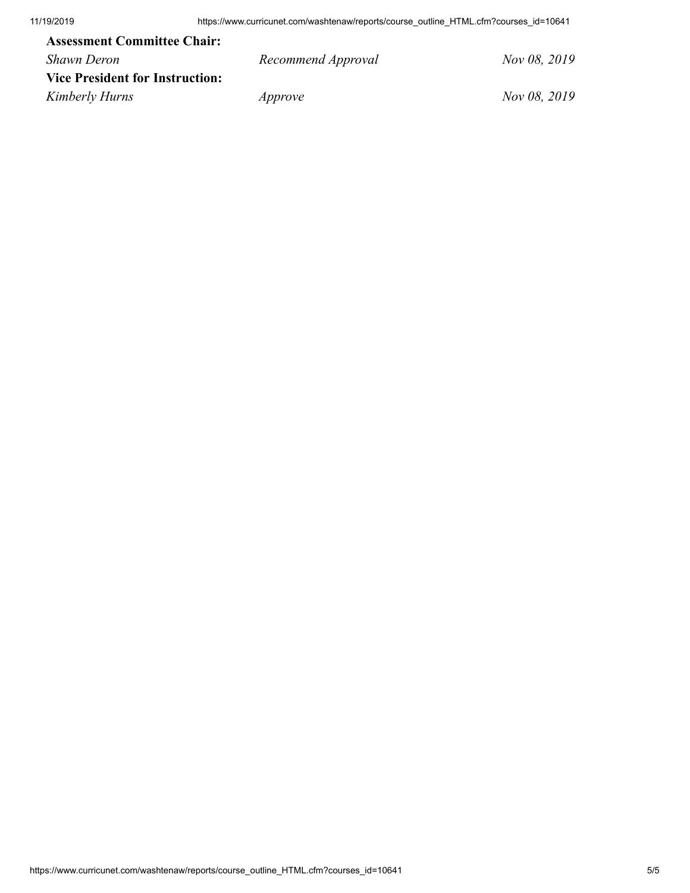| <b>Assessment Committee Chair:</b>     |                    |              |
|----------------------------------------|--------------------|--------------|
| Shawn Deron                            | Recommend Approval | Nov 08, 2019 |
| <b>Vice President for Instruction:</b> |                    |              |
| Kimberly Hurns                         | Approve            | Nov 08, 2019 |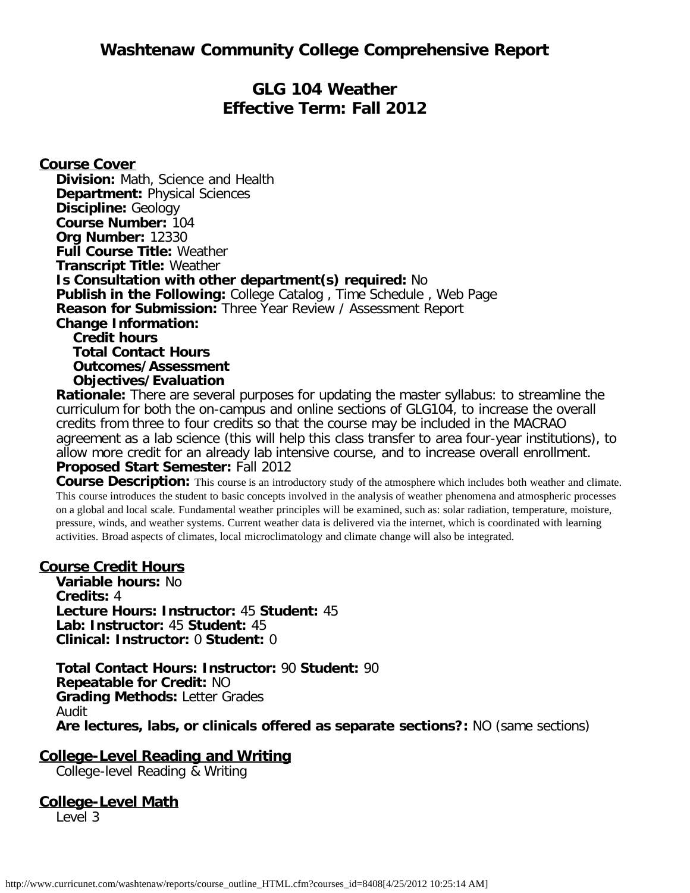# **Washtenaw Community College Comprehensive Report**

# **GLG 104 Weather Effective Term: Fall 2012**

#### **Course Cover**

**Division:** Math, Science and Health **Department:** Physical Sciences **Discipline:** Geology **Course Number:** 104 **Org Number:** 12330 **Full Course Title:** Weather **Transcript Title:** Weather **Is Consultation with other department(s) required:** No **Publish in the Following:** College Catalog , Time Schedule , Web Page **Reason for Submission:** Three Year Review / Assessment Report **Change Information: Credit hours Total Contact Hours Outcomes/Assessment Objectives/Evaluation**

**Rationale:** There are several purposes for updating the master syllabus: to streamline the curriculum for both the on-campus and online sections of GLG104, to increase the overall credits from three to four credits so that the course may be included in the MACRAO agreement as a lab science (this will help this class transfer to area four-year institutions), to allow more credit for an already lab intensive course, and to increase overall enrollment. **Proposed Start Semester:** Fall 2012

**Course Description:** This course is an introductory study of the atmosphere which includes both weather and climate. This course introduces the student to basic concepts involved in the analysis of weather phenomena and atmospheric processes on a global and local scale. Fundamental weather principles will be examined, such as: solar radiation, temperature, moisture, pressure, winds, and weather systems. Current weather data is delivered via the internet, which is coordinated with learning activities. Broad aspects of climates, local microclimatology and climate change will also be integrated.

#### **Course Credit Hours**

**Variable hours:** No **Credits:** 4 **Lecture Hours: Instructor:** 45 **Student:** 45 **Lab: Instructor:** 45 **Student:** 45 **Clinical: Instructor:** 0 **Student:** 0

**Total Contact Hours: Instructor:** 90 **Student:** 90 **Repeatable for Credit:** NO **Grading Methods:** Letter Grades Audit **Are lectures, labs, or clinicals offered as separate sections?:** NO (same sections)

#### **College-Level Reading and Writing**

College-level Reading & Writing

#### **College-Level Math**

Level 3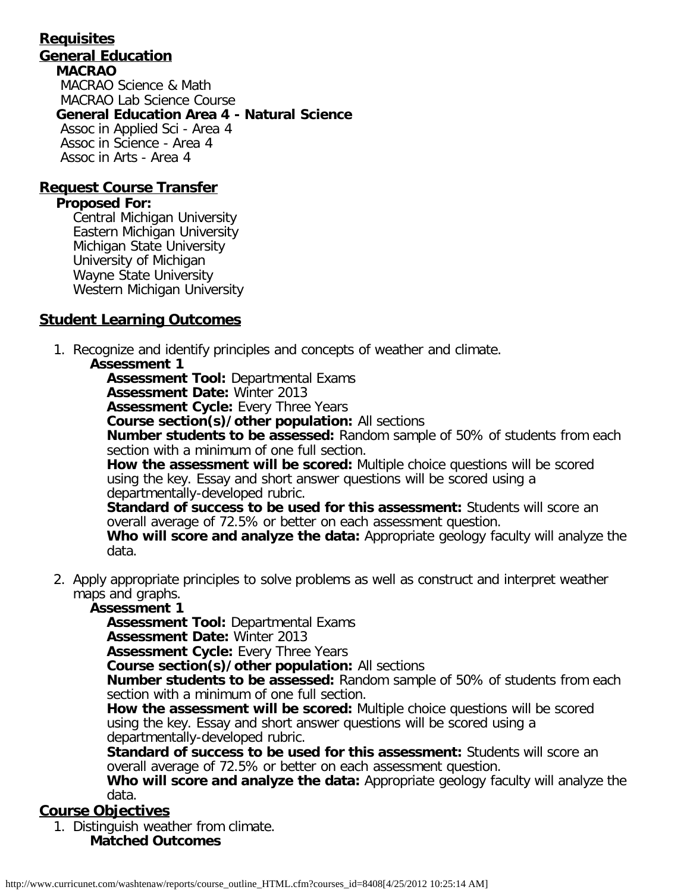#### **Requisites General Education MACRAO** MACRAO Science & Math MACRAO Lab Science Course **General Education Area 4 - Natural Science** Assoc in Applied Sci - Area 4 Assoc in Science - Area 4 Assoc in Arts - Area 4

#### **Request Course Transfer**

#### **Proposed For:**

Central Michigan University Eastern Michigan University Michigan State University University of Michigan Wayne State University Western Michigan University

#### **Student Learning Outcomes**

1. Recognize and identify principles and concepts of weather and climate.

#### **Assessment 1**

**Assessment Tool:** Departmental Exams

**Assessment Date:** Winter 2013

**Assessment Cycle:** Every Three Years

**Course section(s)/other population:** All sections

**Number students to be assessed:** Random sample of 50% of students from each section with a minimum of one full section.

**How the assessment will be scored:** Multiple choice questions will be scored using the key. Essay and short answer questions will be scored using a departmentally-developed rubric.

**Standard of success to be used for this assessment:** Students will score an overall average of 72.5% or better on each assessment question.

**Who will score and analyze the data:** Appropriate geology faculty will analyze the data.

2. Apply appropriate principles to solve problems as well as construct and interpret weather maps and graphs.

#### **Assessment 1**

**Assessment Tool:** Departmental Exams

**Assessment Date:** Winter 2013

**Assessment Cycle:** Every Three Years

**Course section(s)/other population:** All sections

**Number students to be assessed:** Random sample of 50% of students from each section with a minimum of one full section.

**How the assessment will be scored:** Multiple choice questions will be scored using the key. Essay and short answer questions will be scored using a departmentally-developed rubric.

**Standard of success to be used for this assessment:** Students will score an overall average of 72.5% or better on each assessment question.

**Who will score and analyze the data:** Appropriate geology faculty will analyze the data.

#### **Course Objectives**

1. Distinguish weather from climate. **Matched Outcomes**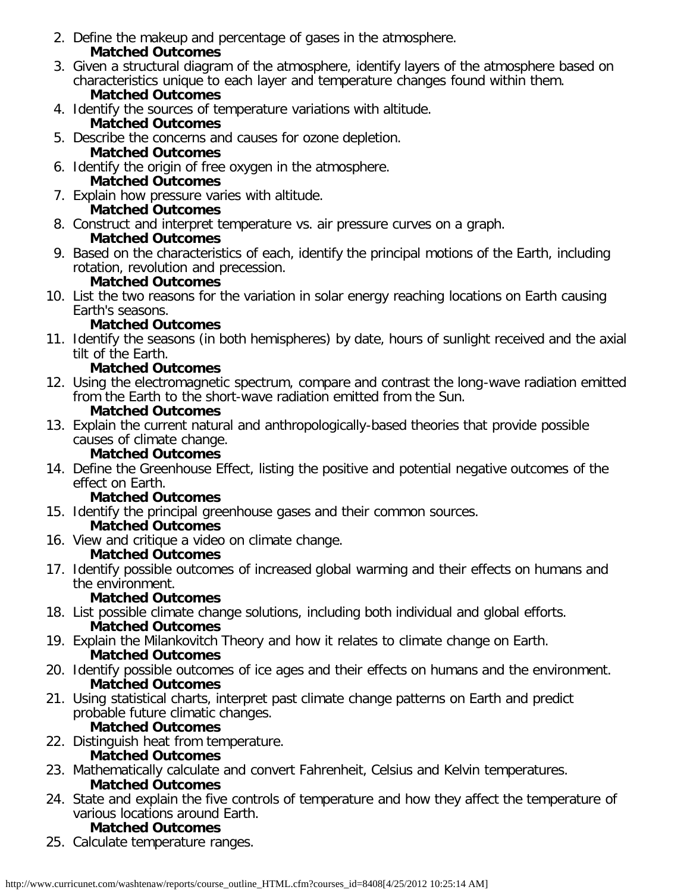- 2. Define the makeup and percentage of gases in the atmosphere. **Matched Outcomes**
- 3. Given a structural diagram of the atmosphere, identify layers of the atmosphere based on characteristics unique to each layer and temperature changes found within them. **Matched Outcomes**
- 4. Identify the sources of temperature variations with altitude.

# **Matched Outcomes**

- 5. Describe the concerns and causes for ozone depletion. **Matched Outcomes**
- 6. Identify the origin of free oxygen in the atmosphere. **Matched Outcomes**
- 7. Explain how pressure varies with altitude. **Matched Outcomes**
- 8. Construct and interpret temperature vs. air pressure curves on a graph. **Matched Outcomes**
- 9. Based on the characteristics of each, identify the principal motions of the Earth, including rotation, revolution and precession.

### **Matched Outcomes**

10. List the two reasons for the variation in solar energy reaching locations on Earth causing Earth's seasons.

### **Matched Outcomes**

11. Identify the seasons (in both hemispheres) by date, hours of sunlight received and the axial tilt of the Earth.

### **Matched Outcomes**

12. Using the electromagnetic spectrum, compare and contrast the long-wave radiation emitted from the Earth to the short-wave radiation emitted from the Sun.

### **Matched Outcomes**

13. Explain the current natural and anthropologically-based theories that provide possible causes of climate change.

### **Matched Outcomes**

14. Define the Greenhouse Effect, listing the positive and potential negative outcomes of the effect on Earth.

### **Matched Outcomes**

- 15. Identify the principal greenhouse gases and their common sources. **Matched Outcomes**
- 16. View and critique a video on climate change.

### **Matched Outcomes**

17. Identify possible outcomes of increased global warming and their effects on humans and the environment.

### **Matched Outcomes**

- 18. List possible climate change solutions, including both individual and global efforts. **Matched Outcomes**
- 19. Explain the Milankovitch Theory and how it relates to climate change on Earth. **Matched Outcomes**
- 20. Identify possible outcomes of ice ages and their effects on humans and the environment. **Matched Outcomes**
- 21. Using statistical charts, interpret past climate change patterns on Earth and predict probable future climatic changes.

### **Matched Outcomes**

22. Distinguish heat from temperature.

# **Matched Outcomes**

- 23. Mathematically calculate and convert Fahrenheit, Celsius and Kelvin temperatures. **Matched Outcomes**
- 24. State and explain the five controls of temperature and how they affect the temperature of various locations around Earth.

# **Matched Outcomes**

25. Calculate temperature ranges.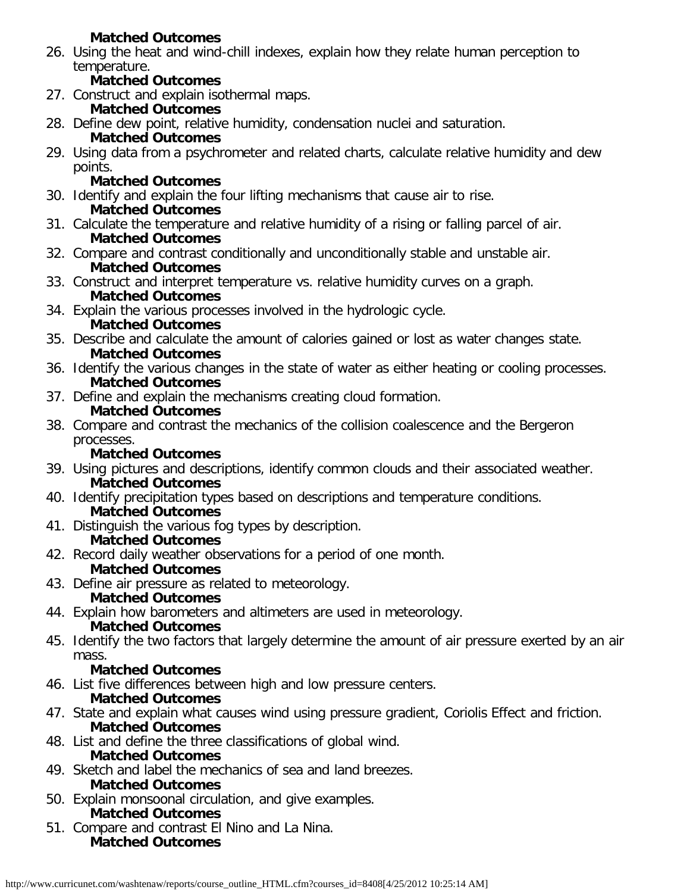### **Matched Outcomes**

26. Using the heat and wind-chill indexes, explain how they relate human perception to temperature.

#### **Matched Outcomes**

27. Construct and explain isothermal maps.

#### **Matched Outcomes**

28. Define dew point, relative humidity, condensation nuclei and saturation.

### **Matched Outcomes**

29. Using data from a psychrometer and related charts, calculate relative humidity and dew points.

# **Matched Outcomes**

- 30. Identify and explain the four lifting mechanisms that cause air to rise. **Matched Outcomes**
- 31. Calculate the temperature and relative humidity of a rising or falling parcel of air. **Matched Outcomes**
- 32. Compare and contrast conditionally and unconditionally stable and unstable air. **Matched Outcomes**
- 33. Construct and interpret temperature vs. relative humidity curves on a graph. **Matched Outcomes**
- 34. Explain the various processes involved in the hydrologic cycle. **Matched Outcomes**
- 35. Describe and calculate the amount of calories gained or lost as water changes state. **Matched Outcomes**
- 36. Identify the various changes in the state of water as either heating or cooling processes. **Matched Outcomes**
- 37. Define and explain the mechanisms creating cloud formation. **Matched Outcomes**
- 38. Compare and contrast the mechanics of the collision coalescence and the Bergeron processes.

### **Matched Outcomes**

- 39. Using pictures and descriptions, identify common clouds and their associated weather. **Matched Outcomes**
- 40. Identify precipitation types based on descriptions and temperature conditions. **Matched Outcomes**
- 41. Distinguish the various fog types by description. **Matched Outcomes**
- 42. Record daily weather observations for a period of one month.

# **Matched Outcomes**

43. Define air pressure as related to meteorology.

### **Matched Outcomes**

- 44. Explain how barometers and altimeters are used in meteorology. **Matched Outcomes**
- 45. Identify the two factors that largely determine the amount of air pressure exerted by an air mass.

# **Matched Outcomes**

46. List five differences between high and low pressure centers.

### **Matched Outcomes**

- 47. State and explain what causes wind using pressure gradient, Coriolis Effect and friction. **Matched Outcomes**
- 48. List and define the three classifications of global wind.

### **Matched Outcomes**

- 49. Sketch and label the mechanics of sea and land breezes. **Matched Outcomes**
- 50. Explain monsoonal circulation, and give examples. **Matched Outcomes**
- 51. Compare and contrast El Nino and La Nina. **Matched Outcomes**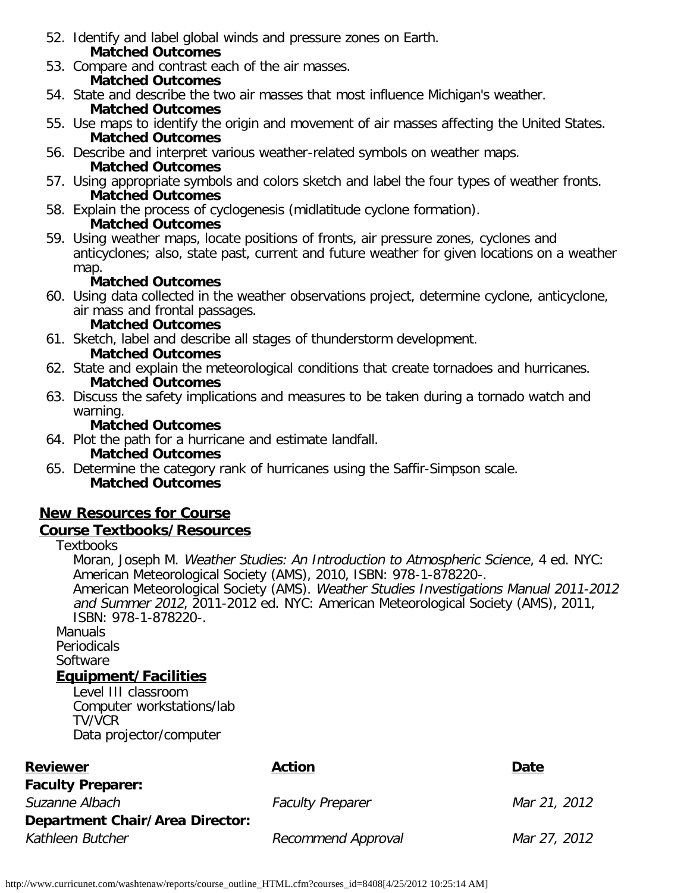- 52. Identify and label global winds and pressure zones on Earth. **Matched Outcomes**
- 53. Compare and contrast each of the air masses.
- **Matched Outcomes**
- 54. State and describe the two air masses that most influence Michigan's weather. **Matched Outcomes**
- 55. Use maps to identify the origin and movement of air masses affecting the United States. **Matched Outcomes**
- 56. Describe and interpret various weather-related symbols on weather maps. **Matched Outcomes**
- 57. Using appropriate symbols and colors sketch and label the four types of weather fronts. **Matched Outcomes**
- 58. Explain the process of cyclogenesis (midlatitude cyclone formation). **Matched Outcomes**
- 59. Using weather maps, locate positions of fronts, air pressure zones, cyclones and anticyclones; also, state past, current and future weather for given locations on a weather map.

### **Matched Outcomes**

60. Using data collected in the weather observations project, determine cyclone, anticyclone, air mass and frontal passages.

#### **Matched Outcomes**

- 61. Sketch, label and describe all stages of thunderstorm development. **Matched Outcomes**
- 62. State and explain the meteorological conditions that create tornadoes and hurricanes. **Matched Outcomes**
- 63. Discuss the safety implications and measures to be taken during a tornado watch and warning.

#### **Matched Outcomes**

- 64. Plot the path for a hurricane and estimate landfall.
	- **Matched Outcomes**
- 65. Determine the category rank of hurricanes using the Saffir-Simpson scale. **Matched Outcomes**

# **New Resources for Course**

### **Course Textbooks/Resources**

**Textbooks** 

Moran, Joseph M. Weather Studies: An Introduction to Atmospheric Science, 4 ed. NYC: American Meteorological Society (AMS), 2010, ISBN: 978-1-878220-. American Meteorological Society (AMS). Weather Studies Investigations Manual 2011-2012 and Summer 2012, 2011-2012 ed. NYC: American Meteorological Society (AMS), 2011, ISBN: 978-1-878220-.

**Manuals** Periodicals Software

# **Equipment/Facilities**

Level III classroom Computer workstations/lab TV/VCR Data projector/computer

| <b>Reviewer</b>                        | Action                  | Date         |
|----------------------------------------|-------------------------|--------------|
| <b>Faculty Preparer:</b>               |                         |              |
| Suzanne Albach                         | <b>Faculty Preparer</b> | Mar 21, 2012 |
| <b>Department Chair/Area Director:</b> |                         |              |
| Kathleen Butcher                       | Recommend Approval      | Mar 27, 2012 |